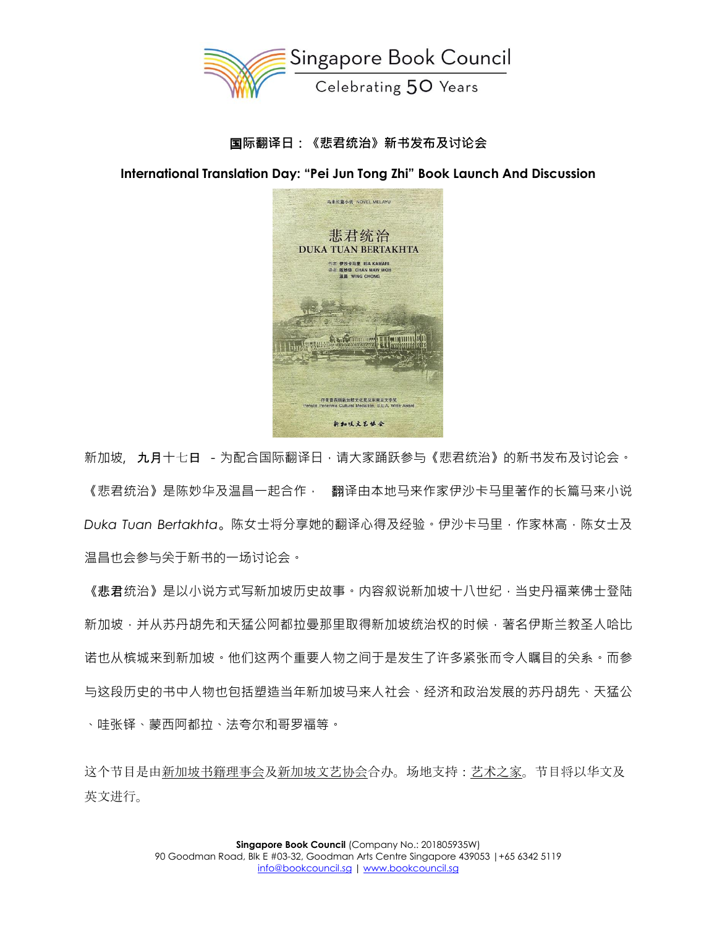

# 国**际翻译日:《悲君统治》新书发布及讨论会**

**International Translation Day: "Pei Jun Tong Zhi" Book Launch And Discussion**



新加坡, 九月十七日 - 为配合国际翻译日,请大家踊跃参与《悲君统治》的新书发布及讨论会。 《悲君统治》是陈妙华及温昌一起合作,《翻译由本地马来作家伊沙卡马里著作的长篇马来小说 *Duka Tuan Bertakhta*。陈女士将分享她的翻译心得及经验。伊沙卡马里,作家林高,陈女士及 温昌也会参与关于新书的一场讨论会。

《悲君统治》是以小说方式写新加坡历史故事。内容叙说新加坡十八世纪,当史丹福莱佛士登陆 新加坡,并从苏丹胡先和天猛公阿都拉曼那里取得新加坡统治权的时候,著名伊斯兰教圣人哈比 诺也从槟城来到新加坡。他们这两个重要人物之间于是发生了许多紧张而令人瞩目的关系。而参 与这段历史的书中人物也包括塑造当年新加坡马来人社会、经济和政治发展的苏丹胡先、天猛公 、哇张铎、蒙西阿都拉、法夸尔和哥罗福等。

这个节目是由新加坡书[籍理事会](https://bookcouncil.sg/home)[及新加坡文](http://sgcls.hi2net.com/)艺协会合办。场地支持:[艺术之家](https://www.theartshouse.sg/)。节目将以华文及 英文进行。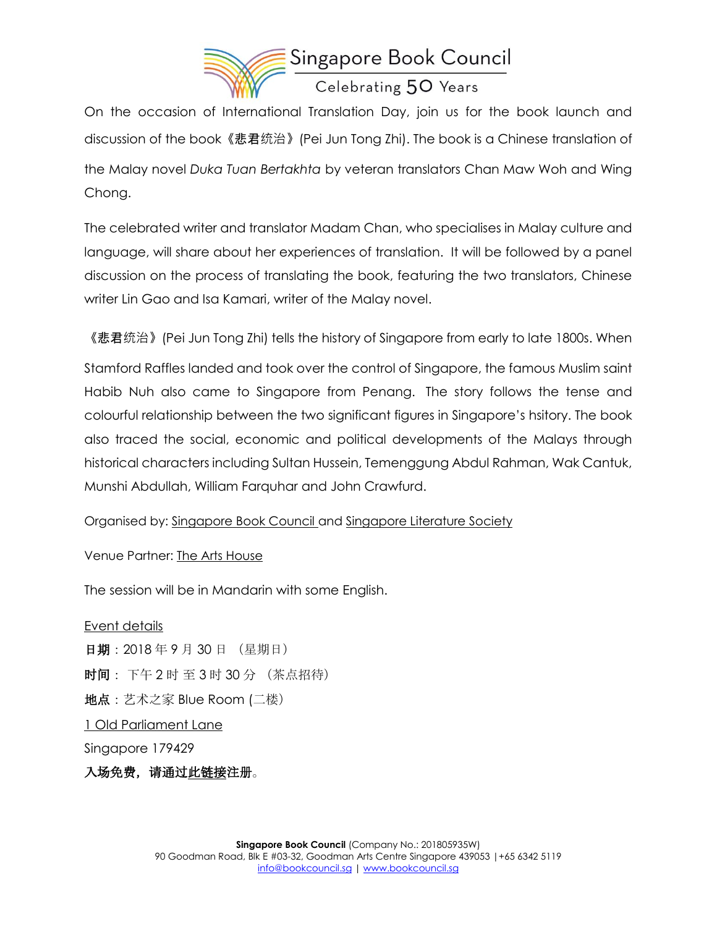

On the occasion of International Translation Day, join us for the book launch and discussion of the book《悲君统治》(Pei Jun Tong Zhi). The book is a Chinese translation of the Malay novel *Duka Tuan Bertakhta* by veteran translators Chan Maw Woh and Wing Chong.

The celebrated writer and translator Madam Chan, who specialises in Malay culture and language, will share about her experiences of translation. It will be followed by a panel discussion on the process of translating the book, featuring the two translators, Chinese writer Lin Gao and Isa Kamari, writer of the Malay novel.

《悲君统治》(Pei Jun Tong Zhi) tells the history of Singapore from early to late 1800s. When

Stamford Raffles landed and took over the control of Singapore, the famous Muslim saint Habib Nuh also came to Singapore from Penang. The story follows the tense and colourful relationship between the two significant figures in Singapore's hsitory. The book also traced the social, economic and political developments of the Malays through historical characters including Sultan Hussein, Temenggung Abdul Rahman, Wak Cantuk, Munshi Abdullah, William Farquhar and John Crawfurd.

Organised by: [Singapore Book Council](https://bookcouncil.sg/home) and [Singapore Literature Society](http://sgcls.hi2net.com/)

Venue Partner: [The Arts House](https://www.theartshouse.sg/)

The session will be in Mandarin with some English.

Event details 日期:2018 年 9 月 30 日 (星期日) 时间: 下午 2 时 至 3 时 30 分 (茶点招待) 地点:艺术之家 Blue Room (二楼) [1 Old Parliament Lane](https://maps.google.com/?q=1+Old+Parliament+Lane+%0D%0ASingapore+179429&entry=gmail&source=g) Singapore 179429 入场免费,请通过此链[接注](https://goo.gl/forms/tncG0wHbEWiyRGPt1)册。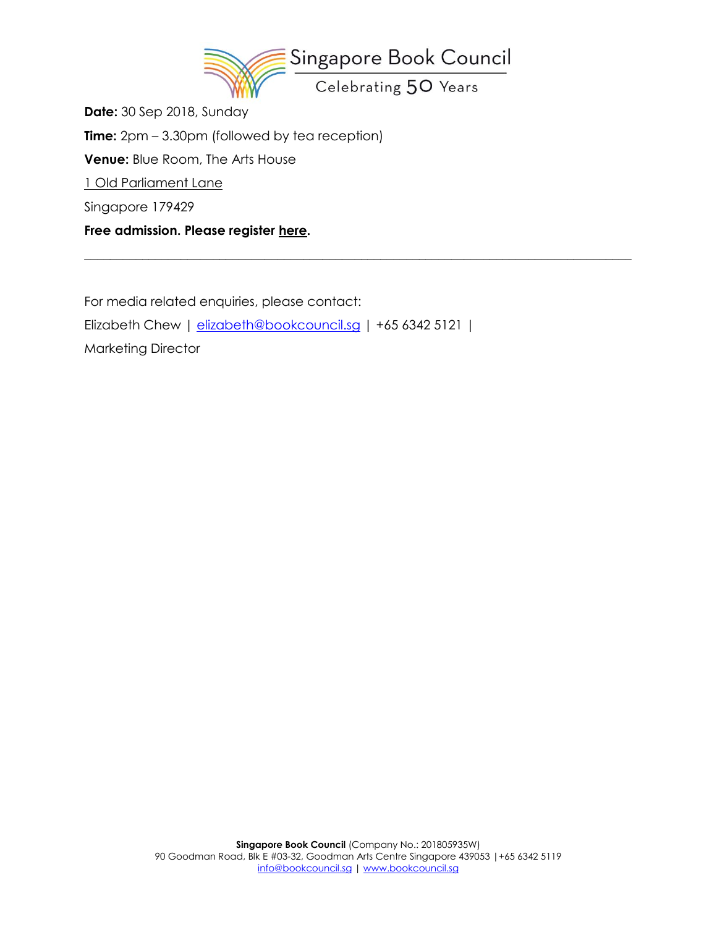

\_\_\_\_\_\_\_\_\_\_\_\_\_\_\_\_\_\_\_\_\_\_\_\_\_\_\_\_\_\_\_\_\_\_\_\_\_\_\_\_\_\_\_\_\_\_\_\_\_\_\_\_\_\_\_\_\_\_\_\_\_\_\_\_\_\_\_\_\_\_\_\_\_\_\_\_\_\_\_\_\_\_\_\_\_

**Date:** 30 Sep 2018, Sunday **Time:** 2pm – 3.30pm (followed by tea reception) **Venue:** Blue Room, The Arts House [1 Old Parliament Lane](https://maps.google.com/?q=1+Old+Parliament+Lane+%0D%0ASingapore+179429&entry=gmail&source=g) Singapore 179429 **Free admission. Please register [here.](https://goo.gl/forms/tncG0wHbEWiyRGPt1)**

For media related enquiries, please contact: Elizabeth Chew | [elizabeth@bookcouncil.sg](mailto:elizabeth@bookcouncil.sg) | +65 6342 5121 | Marketing Director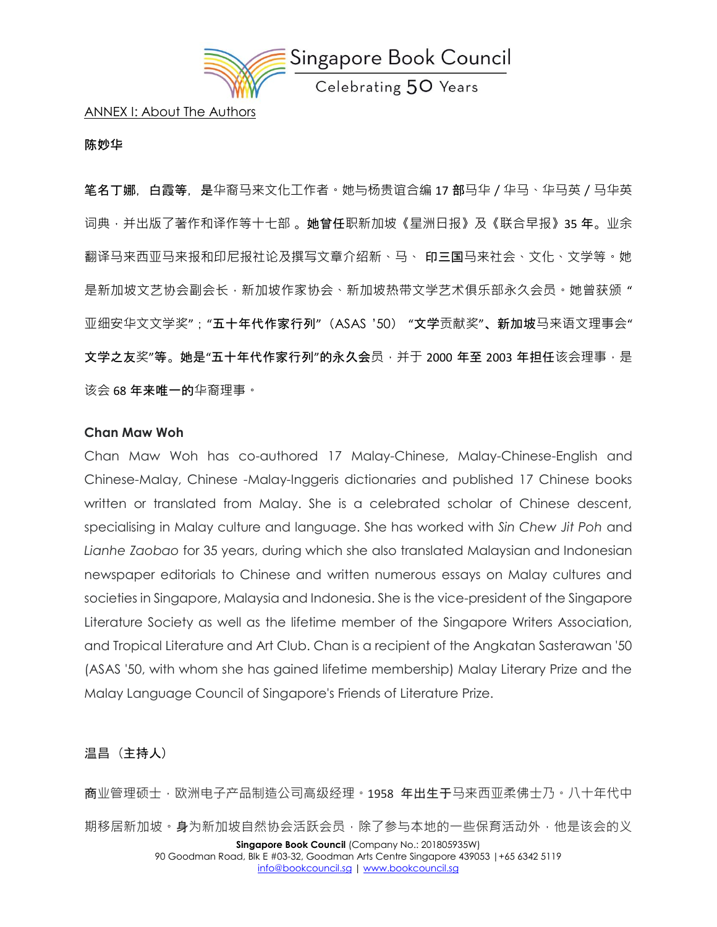

ANNEX I: About The Authors

#### **陈妙华**

笔名丁娜,白霞等,是华裔马来文化工作者。她与杨贵谊合编 17 部马华 / 华马、华马英 / 马华英 词典 · 并出版了著作和译作等十七部 。**她曾任**职新加坡《星洲日报》及《联合早报》35 年。业余 翻译马来西亚马来报和印尼报社论及撰写文章介绍新、马、 印三国马来社会、文化、文学等。她 是新加坡文艺协会副会长,新加坡作家协会、新加坡热带文学艺术俱乐部永久会员。她曾获颁" 亚细安华文文学奖";"五十年代作家行列"(ASAS '50) "文学贡献奖"、新加坡马来语文理事会" 文学之友奖"等。她是"五十年代作家行列"的永久会员,并于 2000 年至 2003 年担任该会理事,是 该会 68 年来唯一的华裔理事。

### **Chan Maw Woh**

Chan Maw Woh has co-authored 17 Malay-Chinese, Malay-Chinese-English and Chinese-Malay, Chinese -Malay-Inggeris dictionaries and published 17 Chinese books written or translated from Malay. She is a celebrated scholar of Chinese descent, specialising in Malay culture and language. She has worked with *Sin Chew Jit Poh* and *Lianhe Zaobao* for 35 years, during which she also translated Malaysian and Indonesian newspaper editorials to Chinese and written numerous essays on Malay cultures and societies in Singapore, Malaysia and Indonesia. She is the vice-president of the Singapore Literature Society as well as the lifetime member of the Singapore Writers Association, and Tropical Literature and Art Club. Chan is a recipient of the Angkatan Sasterawan '50 (ASAS '50, with whom she has gained lifetime membership) Malay Literary Prize and the Malay Language Council of Singapore's Friends of Literature Prize.

## 温昌 (主持人)

**Singapore Book Council** (Company No.: 201805935W) 90 Goodman Road, Blk E #03-32, Goodman Arts Centre Singapore 439053 |+65 6342 5119 商业管理硕士,欧洲电子产品制造公司高级经理。1958 年出生于马来西亚柔佛十乃。八十年代中 期移居新加坡。身为新加坡自然协会活跃会员,除了参与本地的一些保育活动外,他是该会的义

[info@bookcouncil.sg](mailto:info@bookcouncil.sg) [| www.bookcouncil.sg](http://www.bookcouncil.sg/)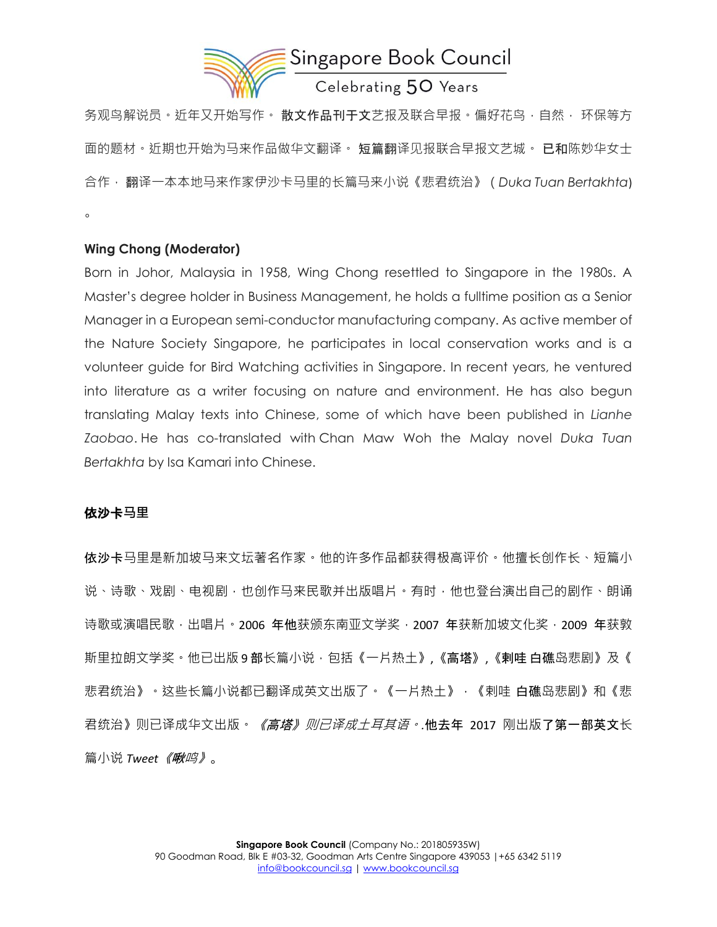

务观鸟解说员。近年又开始写作。 **散文作品刊于文**艺报及联合早报。偏好花鸟,自然, 环保等方 面的题材。近期也开始为马来作品做华文翻译。 短篇翻译见报联合早报文艺城。 **已和**陈妙华女士 合作, 翻译一本本地马来作家伊沙卡马里的长篇马来小说《悲君统治》(*Duka Tuan Bertakhta*) 。

## **Wing Chong (Moderator)**

Born in Johor, Malaysia in 1958, Wing Chong resettled to Singapore in the 1980s. A Master's degree holder in Business Management, he holds a fulltime position as a Senior Manager in a European semi-conductor manufacturing company. As active member of the Nature Society Singapore, he participates in local conservation works and is a volunteer guide for Bird Watching activities in Singapore. In recent years, he ventured into literature as a writer focusing on nature and environment. He has also begun translating Malay texts into Chinese, some of which have been published in *Lianhe Zaobao*. He has co-translated with Chan Maw Woh the Malay novel *Duka Tuan Bertakhta* by Isa Kamari into Chinese.

# 依沙卡**马里**

依沙卡马里是新加坡马来文坛著名作家。他的许多作品都获得极高评价。他擅长创作长、短篇小 说、诗歌、戏剧、电视剧,也创作马来民歌并出版唱片。有时,他也登台演出自己的剧作、朗诵 诗歌或演唱民歌,出唱片。2006 年他获颁东南亚文学奖, 2007 年获新加坡文化奖, 2009 年获敦 斯里拉朗文学奖。他已出版 9 部长篇小说 · 包括《一片热土》,《高塔》,《剌哇 白礁岛悲剧》及《 悲君统治》。这些长篇小说都已翻译成英文出版了。《一片热土》,《剌哇 白礁岛悲剧》和《悲 君统治》则已译成华文出版。《高塔》则已译成土耳其语。*.*他去年 2017 刚出版了第一部英文长 篇小说 *Tweet*《啾鸣》。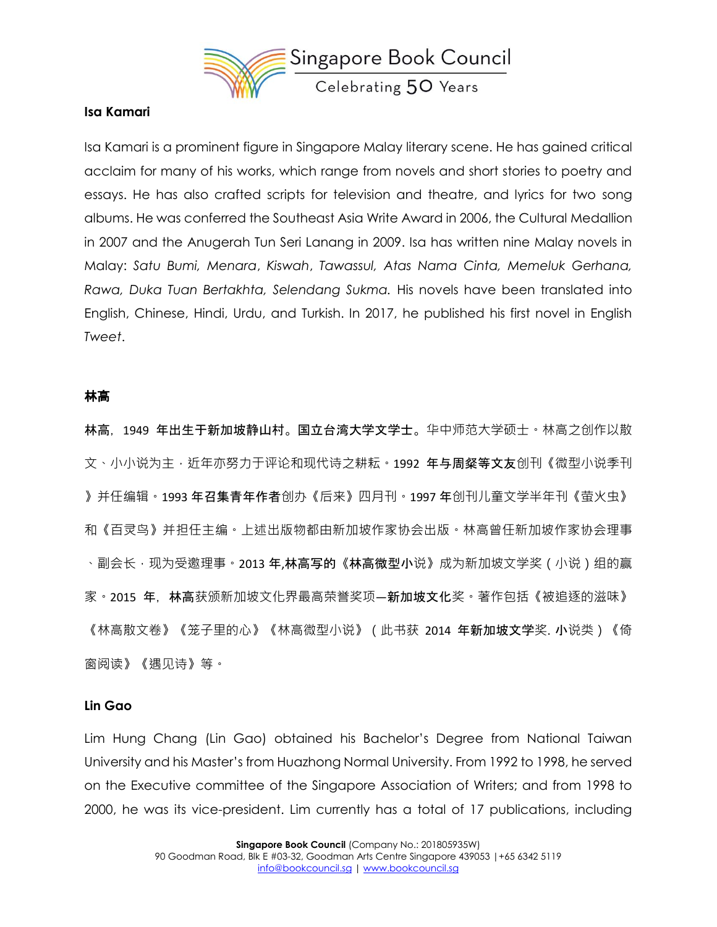

## **Isa Kamari**

Isa Kamari is a prominent figure in Singapore Malay literary scene. He has gained critical acclaim for many of his works, which range from novels and short stories to poetry and essays. He has also crafted scripts for television and theatre, and lyrics for two song albums. He was conferred the Southeast Asia Write Award in 2006, the Cultural Medallion in 2007 and the Anugerah Tun Seri Lanang in 2009. Isa has written nine Malay novels in Malay: *Satu Bumi, Menara*, *Kiswah*, *Tawassul, Atas Nama Cinta, Memeluk Gerhana, Rawa, Duka Tuan Bertakhta, Selendang Sukma.* His novels have been translated into English, Chinese, Hindi, Urdu, and Turkish. In 2017, he published his first novel in English *Tweet*.

### 林高

林高,1949 年出生于新加坡静山村。国立台湾大学文学士。华中师范大学硕士。林高之创作以散 文、小小说为主,近年亦努力于评论和现代诗之耕耘。1992 年与周粲等文友创刊《微型小说季刊 》并任编辑。1993 年召集青年作者创办《后来》四月刊。1997 年创刊儿童文学半年刊《萤火虫》 和《百灵鸟》并担任主编。上述出版物都由新加坡作家协会出版。林高曾任新加坡作家协会理事 、副会长 · 现为受邀理事 · 2013 **年,林高写的《林高微型小**说》成为新加坡文学奖(小说)组的赢 家。2015 年,林高获颁新加坡文化界最高荣誉奖项—新加坡文化奖。著作包括《被追逐的滋味》 《林高散文卷》《笼子里的心》《林高微型小说》(此书获 2014 **年新加坡文学**奖. 小说类)《倚 窗阅读》《遇见诗》等。

### **Lin Gao**

Lim Hung Chang (Lin Gao) obtained his Bachelor's Degree from National Taiwan University and his Master's from Huazhong Normal University. From 1992 to 1998, he served on the Executive committee of the Singapore Association of Writers; and from 1998 to 2000, he was its vice-president. Lim currently has a total of 17 publications, including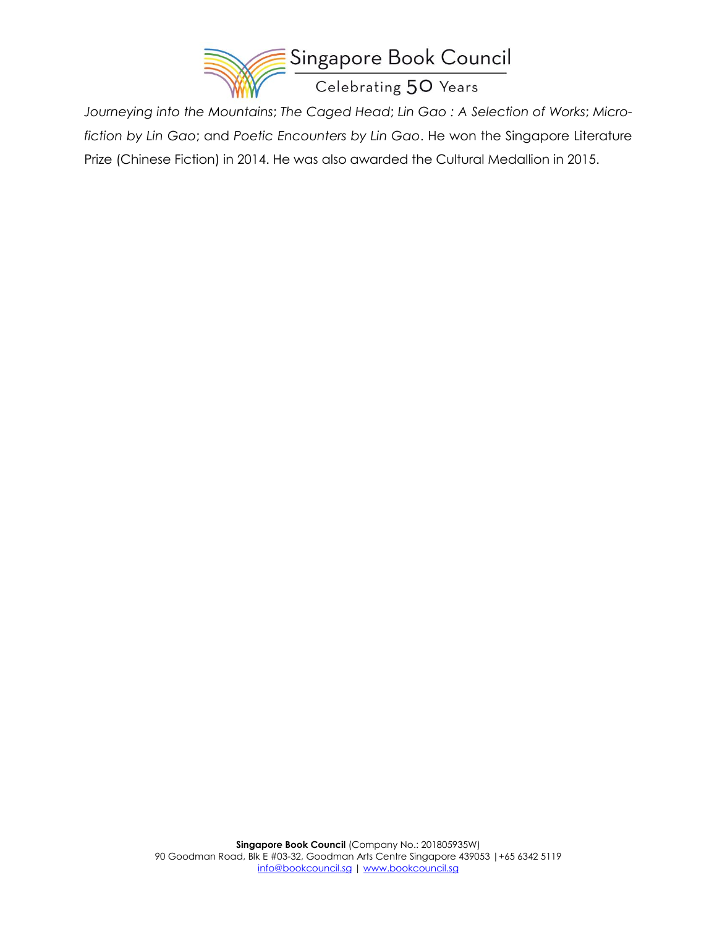

*Journeying into the Mountains*; *The Caged Head*; *Lin Gao : A Selection of Works*; *Microfiction by Lin Gao*; and *Poetic Encounters by Lin Gao*. He won the Singapore Literature Prize (Chinese Fiction) in 2014. He was also awarded the Cultural Medallion in 2015.